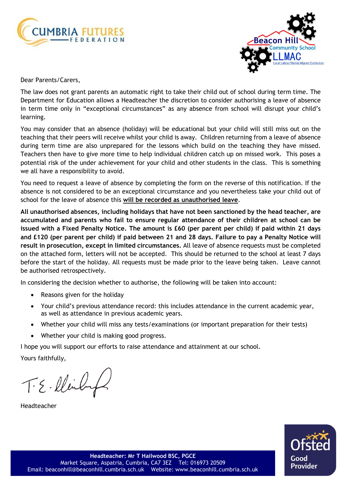



Dear Parents/Carers,

The law does not grant parents an automatic right to take their child out of school during term time. The Department for Education allows a Headteacher the discretion to consider authorising a leave of absence in term time only in "exceptional circumstances" as any absence from school will disrupt your child's learning.

You may consider that an absence (holiday) will be educational but your child will still miss out on the teaching that their peers will receive whilst your child is away. Children returning from a leave of absence during term time are also unprepared for the lessons which build on the teaching they have missed. Teachers then have to give more time to help individual children catch up on missed work. This poses a potential risk of the under achievement for your child and other students in the class. This is something we all have a responsibility to avoid.

You need to request a leave of absence by completing the form on the reverse of this notification. If the absence is not considered to be an exceptional circumstance and you nevertheless take your child out of school for the leave of absence this **will be recorded as unauthorised leave**.

**All unauthorised absences, including holidays that have not been sanctioned by the head teacher, are accumulated and parents who fail to ensure regular attendance of their children at school can be** issued with a Fixed Penalty Notice. The amount is £60 (per parent per child) if paid within 21 days and £120 (per parent per child) if paid between 21 and 28 days. Failure to pay a Penalty Notice will **result in prosecution, except in limited circumstances.** All leave of absence requests must be completed on the attached form, letters will not be accepted. This should be returned to the school at least 7 days before the start of the holiday. All requests must be made prior to the leave being taken. Leave cannot be authorised retrospectively.

In considering the decision whether to authorise, the following will be taken into account:

- Reasons given for the holiday
- Your child's previous attendance record: this includes attendance in the current academic year, as well as attendance in previous academic years.
- Whether your child will miss any tests/examinations (or important preparation for their tests)
- Whether your child is making good progress.

I hope you will support our efforts to raise attendance and attainment at our school.

Yours faithfully,

T.E.lleilig

Headteacher